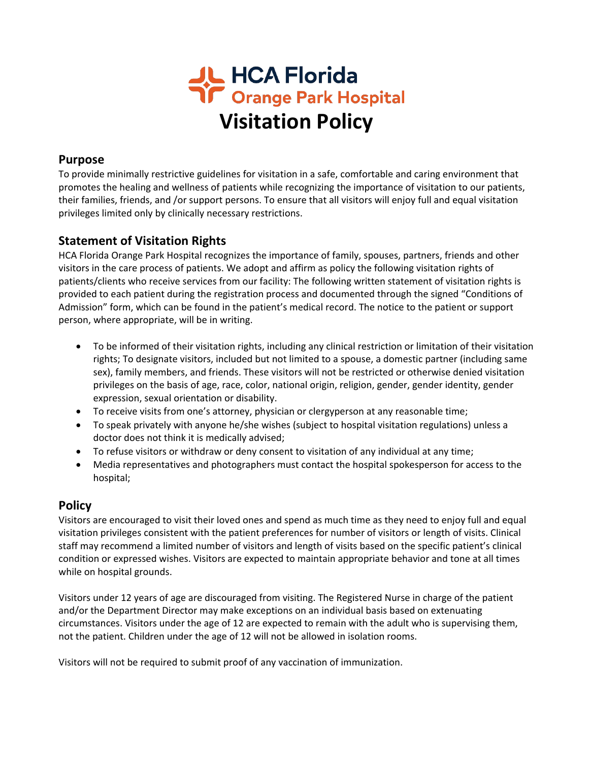

#### **Purpose**

To provide minimally restrictive guidelines for visitation in a safe, comfortable and caring environment that promotes the healing and wellness of patients while recognizing the importance of visitation to our patients, their families, friends, and /or support persons. To ensure that all visitors will enjoy full and equal visitation privileges limited only by clinically necessary restrictions.

## **Statement of Visitation Rights**

HCA Florida Orange Park Hospital recognizes the importance of family, spouses, partners, friends and other visitors in the care process of patients. We adopt and affirm as policy the following visitation rights of patients/clients who receive services from our facility: The following written statement of visitation rights is provided to each patient during the registration process and documented through the signed "Conditions of Admission" form, which can be found in the patient's medical record. The notice to the patient or support person, where appropriate, will be in writing.

- To be informed of their visitation rights, including any clinical restriction or limitation of their visitation rights; To designate visitors, included but not limited to a spouse, a domestic partner (including same sex), family members, and friends. These visitors will not be restricted or otherwise denied visitation privileges on the basis of age, race, color, national origin, religion, gender, gender identity, gender expression, sexual orientation or disability.
- To receive visits from one's attorney, physician or clergyperson at any reasonable time;
- To speak privately with anyone he/she wishes (subject to hospital visitation regulations) unless a doctor does not think it is medically advised;
- To refuse visitors or withdraw or deny consent to visitation of any individual at any time;
- Media representatives and photographers must contact the hospital spokesperson for access to the hospital;

## **Policy**

Visitors are encouraged to visit their loved ones and spend as much time as they need to enjoy full and equal visitation privileges consistent with the patient preferences for number of visitors or length of visits. Clinical staff may recommend a limited number of visitors and length of visits based on the specific patient's clinical condition or expressed wishes. Visitors are expected to maintain appropriate behavior and tone at all times while on hospital grounds.

Visitors under 12 years of age are discouraged from visiting. The Registered Nurse in charge of the patient and/or the Department Director may make exceptions on an individual basis based on extenuating circumstances. Visitors under the age of 12 are expected to remain with the adult who is supervising them, not the patient. Children under the age of 12 will not be allowed in isolation rooms.

Visitors will not be required to submit proof of any vaccination of immunization.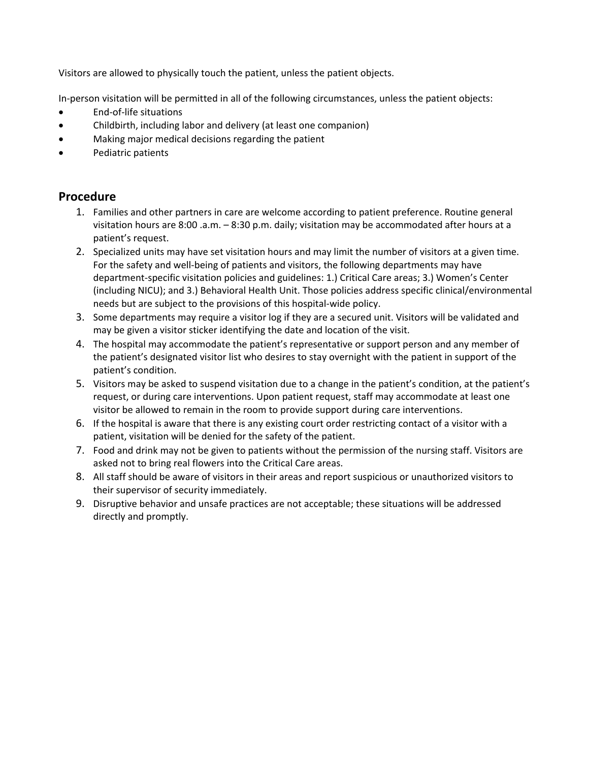Visitors are allowed to physically touch the patient, unless the patient objects.

In-person visitation will be permitted in all of the following circumstances, unless the patient objects:

- End-of-life situations
- Childbirth, including labor and delivery (at least one companion)
- Making major medical decisions regarding the patient
- Pediatric patients

## **Procedure**

- 1. Families and other partners in care are welcome according to patient preference. Routine general visitation hours are 8:00 .a.m. – 8:30 p.m. daily; visitation may be accommodated after hours at a patient's request.
- 2. Specialized units may have set visitation hours and may limit the number of visitors at a given time. For the safety and well-being of patients and visitors, the following departments may have department-specific visitation policies and guidelines: 1.) Critical Care areas; 3.) Women's Center (including NICU); and 3.) Behavioral Health Unit. Those policies address specific clinical/environmental needs but are subject to the provisions of this hospital-wide policy.
- 3. Some departments may require a visitor log if they are a secured unit. Visitors will be validated and may be given a visitor sticker identifying the date and location of the visit.
- 4. The hospital may accommodate the patient's representative or support person and any member of the patient's designated visitor list who desires to stay overnight with the patient in support of the patient's condition.
- 5. Visitors may be asked to suspend visitation due to a change in the patient's condition, at the patient's request, or during care interventions. Upon patient request, staff may accommodate at least one visitor be allowed to remain in the room to provide support during care interventions.
- 6. If the hospital is aware that there is any existing court order restricting contact of a visitor with a patient, visitation will be denied for the safety of the patient.
- 7. Food and drink may not be given to patients without the permission of the nursing staff. Visitors are asked not to bring real flowers into the Critical Care areas.
- 8. All staff should be aware of visitors in their areas and report suspicious or unauthorized visitors to their supervisor of security immediately.
- 9. Disruptive behavior and unsafe practices are not acceptable; these situations will be addressed directly and promptly.